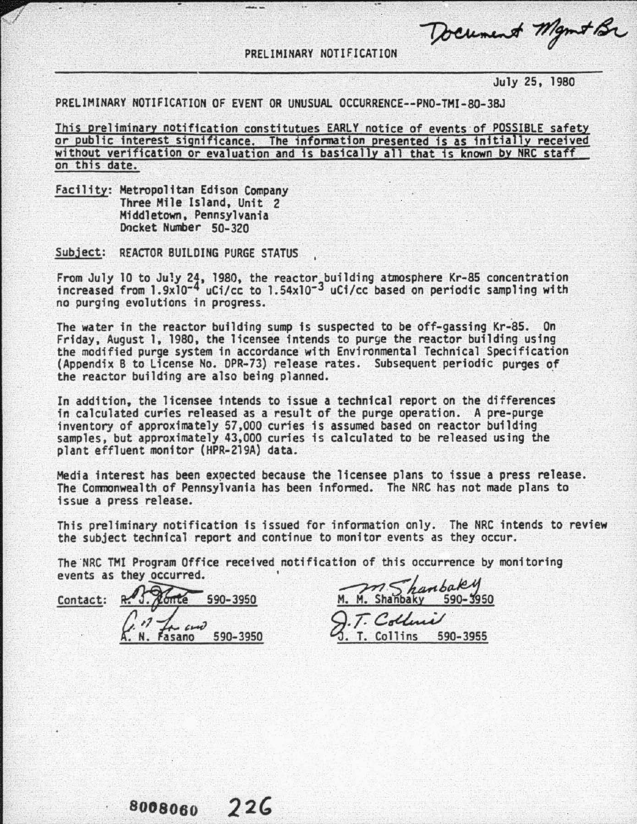Document Mant Br

PRELIMINARY NOTIFICATION

July 25, 1980

PRELIMINARY NOTIFICATION OF EVENT OR UNUSUAL OCCURRENCE--PNO-TMI-80-38J

This preliminary notification constitutues EARLY notice of events of POSSIBLE safety or public interest significance. The information presented is as initially received without verification or evaluation and is basically all that is known by NRC staff on this date.

Facility: Metropolitan Edison Company Three Mile Island, Unit 2 Middletown, Pennsylvania<br>Docket Number 50-320

Subject: REACTOR BUILDING PURGE STATUS

From July 10 to July 24, 1980, the reactor building atmosphere Kr-85 concentration increased from 1.9x10<sup>-4</sup> uCi/cc to 1.54x10<sup>-3</sup> uCi/cc based on periodic sampling with no purging evolutions in progress.

The water in the reactor building sump is suspected to be off-gassing Kr-85. On<br>Friday, August 1, 1980, the licensee intends to purge the reactor building using the modified purge system in accordance with Environmental Technical Specification<br>(Appendix B to License No. DPR-73) release rates. Subsequent periodic purges of the reactor building are also being planned.

In addition, the licensee intends to issue a technical report on the differences<br>in calculated curies released as a result of the purge operation. A pre-purge inventory of approximately 57,000 curies is assumed based on reactor building<br>samples, but approximately 43,000 curies is calculated to be released using the plant effluent monitor (HPR-219A) data.

Media interest has been ex9ected because the licensee plans to issue a press release. The Commonwealth of Pennsylvania has been informed. The NRC has not made plans to issue a press release.

This preliminary notification is issued for information only. The NRC intends to review the subject technical report and continue to monitor events as they occur.

The NRC TMI Program Office received notification of this occurrence by monitoring events as they occurred.

590-3950 Fasano

 $\overbrace{m \cdot m \cdot 5}^{hanked}$  Spontact:  $\overbrace{m \cdot m \cdot 5}^{hanked}$  Shanbaky T. Coller

Collins 590-3955